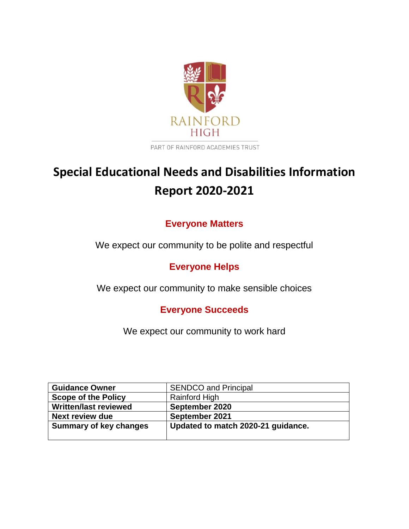

PART OF RAINFORD ACADEMIES TRUST

# **Special Educational Needs and Disabilities Information Report 2020-2021**

# **Everyone Matters**

We expect our community to be polite and respectful

# **Everyone Helps**

We expect our community to make sensible choices

# **Everyone Succeeds**

We expect our community to work hard

| <b>Guidance Owner</b>         | <b>SENDCO and Principal</b>        |
|-------------------------------|------------------------------------|
| <b>Scope of the Policy</b>    | Rainford High                      |
| <b>Written/last reviewed</b>  | September 2020                     |
| <b>Next review due</b>        | September 2021                     |
| <b>Summary of key changes</b> | Updated to match 2020-21 guidance. |
|                               |                                    |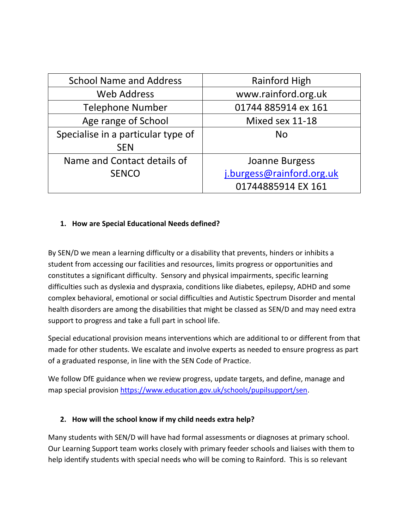| <b>School Name and Address</b>     | Rainford High             |
|------------------------------------|---------------------------|
| <b>Web Address</b>                 | www.rainford.org.uk       |
| <b>Telephone Number</b>            | 01744 885914 ex 161       |
| Age range of School                | Mixed sex 11-18           |
| Specialise in a particular type of | <b>No</b>                 |
| <b>SEN</b>                         |                           |
| Name and Contact details of        | Joanne Burgess            |
| <b>SENCO</b>                       | j.burgess@rainford.org.uk |
|                                    | 01744885914 EX 161        |

#### **1. How are Special Educational Needs defined?**

By SEN/D we mean a learning difficulty or a disability that prevents, hinders or inhibits a student from accessing our facilities and resources, limits progress or opportunities and constitutes a significant difficulty. Sensory and physical impairments, specific learning difficulties such as dyslexia and dyspraxia, conditions like diabetes, epilepsy, ADHD and some complex behavioral, emotional or social difficulties and Autistic Spectrum Disorder and mental health disorders are among the disabilities that might be classed as SEN/D and may need extra support to progress and take a full part in school life.

Special educational provision means interventions which are additional to or different from that made for other students. We escalate and involve experts as needed to ensure progress as part of a graduated response, in line with the SEN Code of Practice.

We follow DfE guidance when we review progress, update targets, and define, manage and map special provision [https://www.education.gov.uk/schools/pupilsupport/sen.](https://www.education.gov.uk/schools/pupilsupport/sen)

#### **2. How will the school know if my child needs extra help?**

Many students with SEN/D will have had formal assessments or diagnoses at primary school. Our Learning Support team works closely with primary feeder schools and liaises with them to help identify students with special needs who will be coming to Rainford. This is so relevant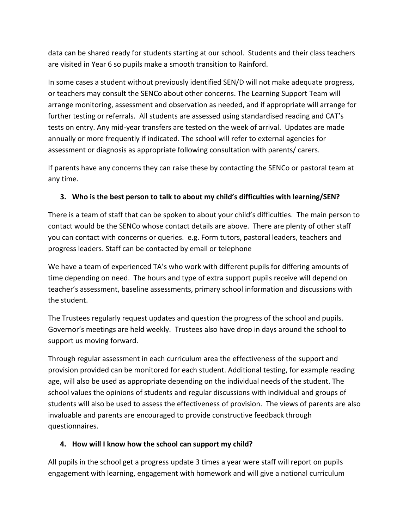data can be shared ready for students starting at our school. Students and their class teachers are visited in Year 6 so pupils make a smooth transition to Rainford.

In some cases a student without previously identified SEN/D will not make adequate progress, or teachers may consult the SENCo about other concerns. The Learning Support Team will arrange monitoring, assessment and observation as needed, and if appropriate will arrange for further testing or referrals. All students are assessed using standardised reading and CAT's tests on entry. Any mid-year transfers are tested on the week of arrival. Updates are made annually or more frequently if indicated. The school will refer to external agencies for assessment or diagnosis as appropriate following consultation with parents/ carers.

If parents have any concerns they can raise these by contacting the SENCo or pastoral team at any time.

## **3. Who is the best person to talk to about my child's difficulties with learning/SEN?**

There is a team of staff that can be spoken to about your child's difficulties. The main person to contact would be the SENCo whose contact details are above. There are plenty of other staff you can contact with concerns or queries. e.g. Form tutors, pastoral leaders, teachers and progress leaders. Staff can be contacted by email or telephone

We have a team of experienced TA's who work with different pupils for differing amounts of time depending on need. The hours and type of extra support pupils receive will depend on teacher's assessment, baseline assessments, primary school information and discussions with the student.

The Trustees regularly request updates and question the progress of the school and pupils. Governor's meetings are held weekly. Trustees also have drop in days around the school to support us moving forward.

Through regular assessment in each curriculum area the effectiveness of the support and provision provided can be monitored for each student. Additional testing, for example reading age, will also be used as appropriate depending on the individual needs of the student. The school values the opinions of students and regular discussions with individual and groups of students will also be used to assess the effectiveness of provision. The views of parents are also invaluable and parents are encouraged to provide constructive feedback through questionnaires.

#### **4. How will I know how the school can support my child?**

All pupils in the school get a progress update 3 times a year were staff will report on pupils engagement with learning, engagement with homework and will give a national curriculum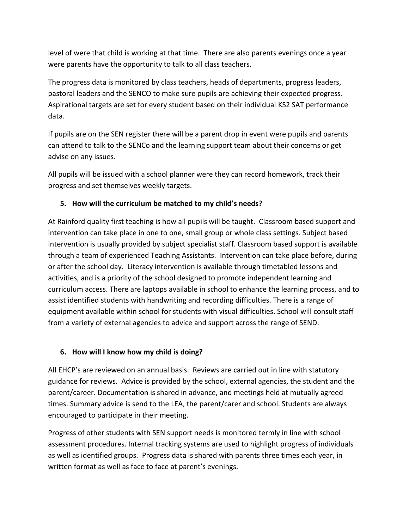level of were that child is working at that time. There are also parents evenings once a year were parents have the opportunity to talk to all class teachers.

The progress data is monitored by class teachers, heads of departments, progress leaders, pastoral leaders and the SENCO to make sure pupils are achieving their expected progress. Aspirational targets are set for every student based on their individual KS2 SAT performance data.

If pupils are on the SEN register there will be a parent drop in event were pupils and parents can attend to talk to the SENCo and the learning support team about their concerns or get advise on any issues.

All pupils will be issued with a school planner were they can record homework, track their progress and set themselves weekly targets.

## **5. How will the curriculum be matched to my child's needs?**

At Rainford quality first teaching is how all pupils will be taught. Classroom based support and intervention can take place in one to one, small group or whole class settings. Subject based intervention is usually provided by subject specialist staff. Classroom based support is available through a team of experienced Teaching Assistants. Intervention can take place before, during or after the school day. Literacy intervention is available through timetabled lessons and activities, and is a priority of the school designed to promote independent learning and curriculum access. There are laptops available in school to enhance the learning process, and to assist identified students with handwriting and recording difficulties. There is a range of equipment available within school for students with visual difficulties. School will consult staff from a variety of external agencies to advice and support across the range of SEND.

# **6. How will I know how my child is doing?**

All EHCP's are reviewed on an annual basis. Reviews are carried out in line with statutory guidance for reviews. Advice is provided by the school, external agencies, the student and the parent/career. Documentation is shared in advance, and meetings held at mutually agreed times. Summary advice is send to the LEA, the parent/carer and school. Students are always encouraged to participate in their meeting.

Progress of other students with SEN support needs is monitored termly in line with school assessment procedures. Internal tracking systems are used to highlight progress of individuals as well as identified groups. Progress data is shared with parents three times each year, in written format as well as face to face at parent's evenings.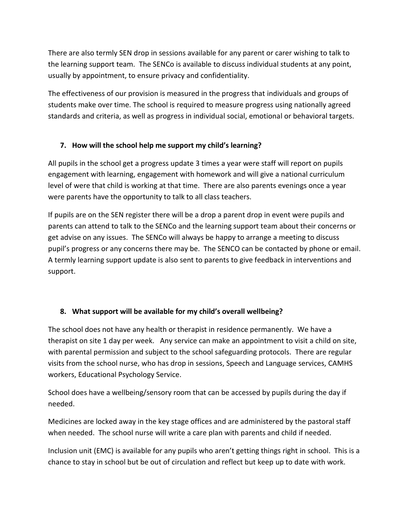There are also termly SEN drop in sessions available for any parent or carer wishing to talk to the learning support team. The SENCo is available to discuss individual students at any point, usually by appointment, to ensure privacy and confidentiality.

The effectiveness of our provision is measured in the progress that individuals and groups of students make over time. The school is required to measure progress using nationally agreed standards and criteria, as well as progress in individual social, emotional or behavioral targets.

#### **7. How will the school help me support my child's learning?**

All pupils in the school get a progress update 3 times a year were staff will report on pupils engagement with learning, engagement with homework and will give a national curriculum level of were that child is working at that time. There are also parents evenings once a year were parents have the opportunity to talk to all class teachers.

If pupils are on the SEN register there will be a drop a parent drop in event were pupils and parents can attend to talk to the SENCo and the learning support team about their concerns or get advise on any issues. The SENCo will always be happy to arrange a meeting to discuss pupil's progress or any concerns there may be. The SENCO can be contacted by phone or email. A termly learning support update is also sent to parents to give feedback in interventions and support.

# **8. What support will be available for my child's overall wellbeing?**

The school does not have any health or therapist in residence permanently. We have a therapist on site 1 day per week. Any service can make an appointment to visit a child on site, with parental permission and subject to the school safeguarding protocols. There are regular visits from the school nurse, who has drop in sessions, Speech and Language services, CAMHS workers, Educational Psychology Service.

School does have a wellbeing/sensory room that can be accessed by pupils during the day if needed.

Medicines are locked away in the key stage offices and are administered by the pastoral staff when needed. The school nurse will write a care plan with parents and child if needed.

Inclusion unit (EMC) is available for any pupils who aren't getting things right in school. This is a chance to stay in school but be out of circulation and reflect but keep up to date with work.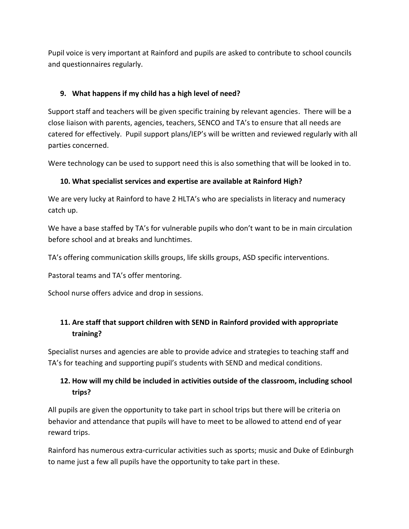Pupil voice is very important at Rainford and pupils are asked to contribute to school councils and questionnaires regularly.

#### **9. What happens if my child has a high level of need?**

Support staff and teachers will be given specific training by relevant agencies. There will be a close liaison with parents, agencies, teachers, SENCO and TA's to ensure that all needs are catered for effectively. Pupil support plans/IEP's will be written and reviewed regularly with all parties concerned.

Were technology can be used to support need this is also something that will be looked in to.

#### **10. What specialist services and expertise are available at Rainford High?**

We are very lucky at Rainford to have 2 HLTA's who are specialists in literacy and numeracy catch up.

We have a base staffed by TA's for vulnerable pupils who don't want to be in main circulation before school and at breaks and lunchtimes.

TA's offering communication skills groups, life skills groups, ASD specific interventions.

Pastoral teams and TA's offer mentoring.

School nurse offers advice and drop in sessions.

# **11. Are staff that support children with SEND in Rainford provided with appropriate training?**

Specialist nurses and agencies are able to provide advice and strategies to teaching staff and TA's for teaching and supporting pupil's students with SEND and medical conditions.

# **12. How will my child be included in activities outside of the classroom, including school trips?**

All pupils are given the opportunity to take part in school trips but there will be criteria on behavior and attendance that pupils will have to meet to be allowed to attend end of year reward trips.

Rainford has numerous extra-curricular activities such as sports; music and Duke of Edinburgh to name just a few all pupils have the opportunity to take part in these.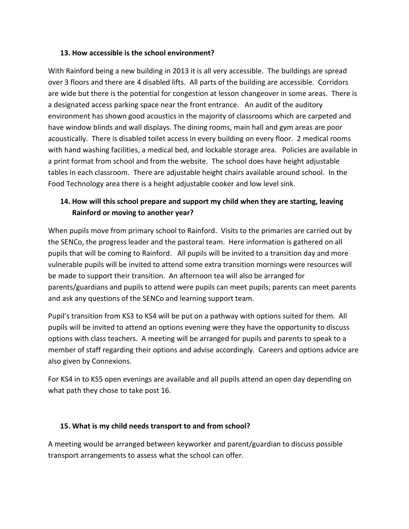#### **13. How accessible is the school environment?**

With Rainford being a new building in 2013 it is all very accessible. The buildings are spread over 3 floors and there are 4 disabled lifts. All parts of the building are accessible. Corridors are wide but there is the potential for congestion at lesson changeover in some areas. There is a designated access parking space near the front entrance. An audit of the auditory environment has shown good acoustics in the majority of classrooms which are carpeted and have window blinds and wall displays. The dining rooms, main hall and gym areas are poor acoustically. There is disabled toilet access in every building on every floor. 2 medical rooms with hand washing facilities, a medical bed, and lockable storage area. Policies are available in a print format from school and from the website. The school does have height adjustable tables in each classroom. There are adjustable height chairs available around school. In the Food Technology area there is a height adjustable cooker and low level sink.

## **14. How will this school prepare and support my child when they are starting, leaving Rainford or moving to another year?**

When pupils move from primary school to Rainford. Visits to the primaries are carried out by the SENCo, the progress leader and the pastoral team. Here information is gathered on all pupils that will be coming to Rainford. All pupils will be invited to a transition day and more vulnerable pupils will be invited to attend some extra transition mornings were resources will be made to support their transition. An afternoon tea will also be arranged for parents/guardians and pupils to attend were pupils can meet pupils; parents can meet parents and ask any questions of the SENCo and learning support team.

Pupil's transition from KS3 to KS4 will be put on a pathway with options suited for them. All pupils will be invited to attend an options evening were they have the opportunity to discuss options with class teachers. A meeting will be arranged for pupils and parents to speak to a member of staff regarding their options and advise accordingly. Careers and options advice are also given by Connexions.

For KS4 in to KS5 open evenings are available and all pupils attend an open day depending on what path they chose to take post 16.

#### **15. What is my child needs transport to and from school?**

A meeting would be arranged between keyworker and parent/guardian to discuss possible transport arrangements to assess what the school can offer.